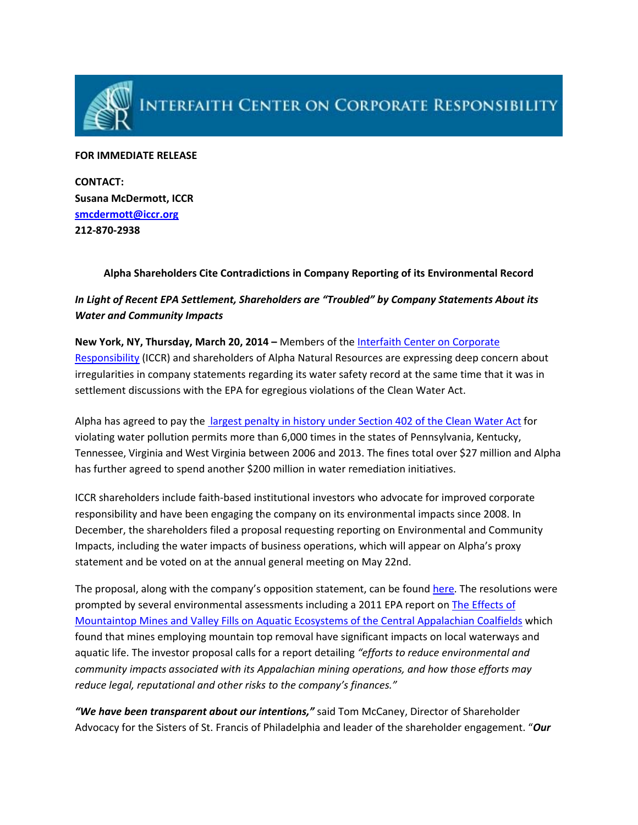

#### **FOR IMMEDIATE RELEASE**

**CONTACT: Susana McDermott, ICCR [smcdermott@iccr.org](mailto:smcdermott@iccr.org) 212‐870‐2938**

## **Alpha Shareholders Cite Contradictions in Company Reporting of its Environmental Record**

# *In Light of Recent EPA Settlement, Shareholders are "Troubled" by Company Statements About its Water and Community Impacts*

### **New York, NY, Thursday, March 20, 2014 –** Members of the Interfaith Center on [Corporate](http://www.iccr.org/)

[Responsibility](http://www.iccr.org/) (ICCR) and shareholders of Alpha Natural Resources are expressing deep concern about irregularities in company statements regarding its water safety record at the same time that it was in settlement discussions with the EPA for egregious violations of the Clean Water Act.

Alpha has agreed to pay the largest [penalty](http://www2.epa.gov/enforcement/alpha-natural-resources-inc-settlement) in history under Section 402 of the Clean Water Act for violating water pollution permits more than 6,000 times in the states of Pennsylvania, Kentucky, Tennessee, Virginia and West Virginia between 2006 and 2013. The fines total over \$27 million and Alpha has further agreed to spend another \$200 million in water remediation initiatives.

ICCR shareholders include faith‐based institutional investors who advocate for improved corporate responsibility and have been engaging the company on its environmental impacts since 2008. In December, the shareholders filed a proposal requesting reporting on Environmental and Community Impacts, including the water impacts of business operations, which will appear on Alpha's proxy statement and be voted on at the annual general meeting on May 22nd.

The proposal, along with the company's opposition statement, can be found [here.](http://www.iccr.org/sites/default/files/resources_attachments/Alpha%27s2014StatementinOpposition.pdf) The resolutions were prompted by several environmental assessments including a 2011 EPA report on The [Effects](http://cfpub.epa.gov/ncea/cfm/recordisplay.cfm?deid=215267) of [Mountaintop](http://cfpub.epa.gov/ncea/cfm/recordisplay.cfm?deid=215267) Mines and Valley Fills on Aquatic Ecosystems of the Central Appalachian Coalfields which found that mines employing mountain top removal have significant impacts on local waterways and aquatic life. The investor proposal calls for a report detailing *"efforts to reduce environmental and community impacts associated with its Appalachian mining operations, and how those efforts may reduce legal, reputational and other risks to the company's finances."*

*"We have been transparent about our intentions,"* said Tom McCaney, Director of Shareholder Advocacy for the Sisters of St. Francis of Philadelphia and leader of the shareholder engagement. "*Our*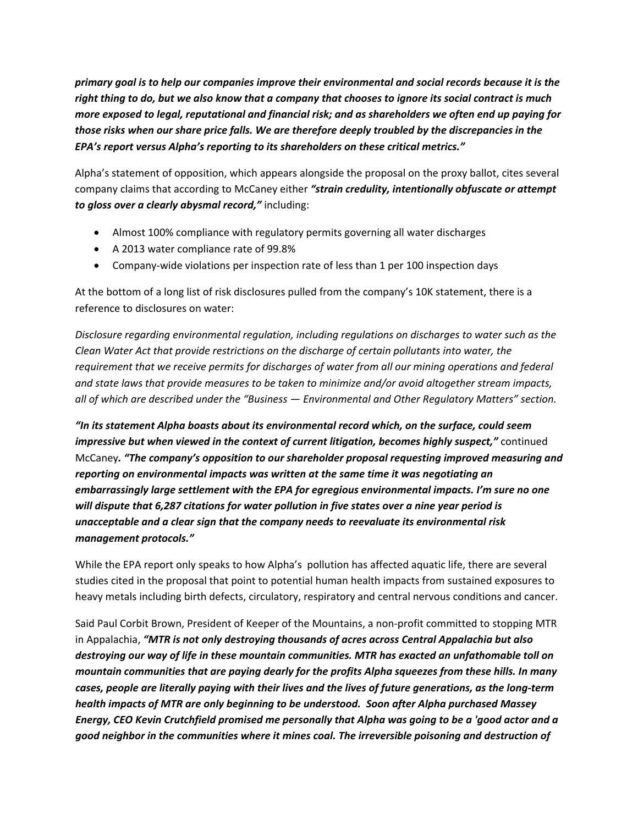*primary goal is to help our companies improve their environmental and social records because it is the* right thing to do, but we also know that a company that chooses to ignore its social contract is much *more exposed to legal, reputational and financial risk; and as shareholders we often end up paying for those risks when our share price falls. We are therefore deeply troubled by the discrepancies in the EPA's report versus Alpha's reporting to its shareholders on these critical metrics."*

Alpha's statement of opposition, which appears alongside the proposal on the proxy ballot, cites several company claims that according to McCaney either *"strain credulity, intentionally obfuscate or attempt to gloss over a clearly abysmal record,"* including:

- Almost 100% compliance with regulatory permits governing all water discharges
- A 2013 water compliance rate of 99.8%
- Company‐wide violations per inspection rate of less than 1 per 100 inspection days

At the bottom of a long list of risk disclosures pulled from the company's 10K statement, there is a reference to disclosures on water:

*Disclosure regarding environmental regulation, including regulations on discharges to water such as the Clean Water Act that provide restrictions on the discharge of certain pollutants into water, the requirement that we receive permits for discharges of water from all our mining operations and federal and state laws that provide measures to be taken to minimize and/or avoid altogether stream impacts, all of which are described under the "Business — Environmental and Other Regulatory Matters" section.*

*"In its statement Alpha boasts about its environmental record which, on the surface, could seem impressive but when viewed in the context of current litigation, becomes highly suspect,"* continued McCaney*. "The company's opposition to our shareholder proposal requesting improved measuring and reporting on environmental impacts was written at the same time it was negotiating an embarrassingly large settlement with the EPA for egregious environmental impacts. I'm sure no one will dispute that 6,287 citations for water pollution in five states over a nine year period is unacceptable and a clear sign that the company needs to reevaluate its environmental risk management protocols."*

While the EPA report only speaks to how Alpha's pollution has affected aquatic life, there are several studies cited in the proposal that point to potential human health impacts from sustained exposures to heavy metals including birth defects, circulatory, respiratory and central nervous conditions and cancer.

Said Paul Corbit Brown, President of Keeper of the Mountains, a non‐profit committed to stopping MTR in Appalachia, *"MTR is not only destroying thousands of acres across Central Appalachia but also destroying our way of life in these mountain communities. MTR has exacted an unfathomable toll on mountain communities that are paying dearly for the profits Alpha squeezes from these hills. In many* cases, people are literally paying with their lives and the lives of future generations, as the long-term *health impacts of MTR are only beginning to be understood. Soon after Alpha purchased Massey* Energy, CEO Kevin Crutchfield promised me personally that Alpha was going to be a 'good actor and a *good neighbor in the communities where it mines coal. The irreversible poisoning and destruction of*